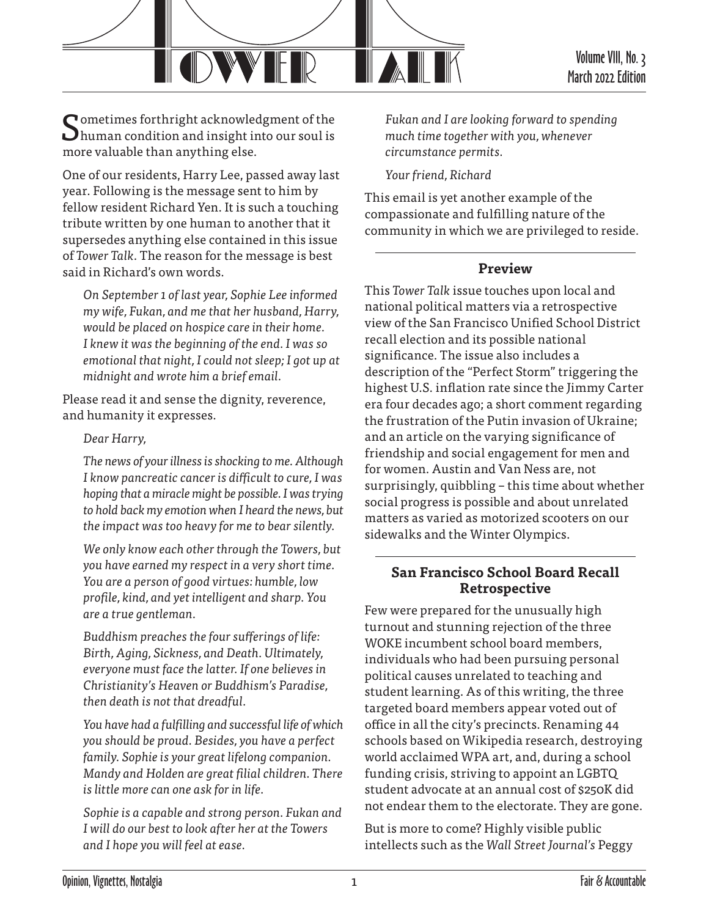

Sometimes forthright acknowledgment of the human condition and insight into our soul is more valuable than anything else.

One of our residents, Harry Lee, passed away last year. Following is the message sent to him by fellow resident Richard Yen. It is such a touching tribute written by one human to another that it supersedes anything else contained in this issue of *Tower Talk*. The reason for the message is best said in Richard's own words.

*On September 1 of last year, Sophie Lee informed my wife, Fukan, and me that her husband, Harry, would be placed on hospice care in their home. I knew it was the beginning of the end. I was so emotional that night, I could not sleep; I got up at midnight and wrote him a brief email.*

Please read it and sense the dignity, reverence, and humanity it expresses.

#### *Dear Harry,*

*The news of your illness is shocking to me. Although I know pancreatic cancer is difficult to cure, I was hoping that a miracle might be possible. I was trying to hold back my emotion when I heard the news, but the impact was too heavy for me to bear silently.*

*We only know each other through the Towers, but you have earned my respect in a very short time. You are a person of good virtues: humble, low profile, kind, and yet intelligent and sharp. You are a true gentleman.*

*Buddhism preaches the four sufferings of life: Birth, Aging, Sickness, and Death. Ultimately, everyone must face the latter. If one believes in Christianity's Heaven or Buddhism's Paradise, then death is not that dreadful.*

*You have had a fulfilling and successful life of which you should be proud. Besides, you have a perfect family. Sophie is your great lifelong companion. Mandy and Holden are great filial children. There is little more can one ask for in life.*

*Sophie is a capable and strong person. Fukan and I will do our best to look after her at the Towers and I hope you will feel at ease.*

*Fukan and I are looking forward to spending much time together with you, whenever circumstance permits.*

*Your friend, Richard*

This email is yet another example of the compassionate and fulfilling nature of the community in which we are privileged to reside.

### **Preview**

This *Tower Talk* issue touches upon local and national political matters via a retrospective view of the San Francisco Unified School District recall election and its possible national significance. The issue also includes a description of the "Perfect Storm" triggering the highest U.S. inflation rate since the Jimmy Carter era four decades ago; a short comment regarding the frustration of the Putin invasion of Ukraine; and an article on the varying significance of friendship and social engagement for men and for women. Austin and Van Ness are, not surprisingly, quibbling – this time about whether social progress is possible and about unrelated matters as varied as motorized scooters on our sidewalks and the Winter Olympics.

### **San Francisco School Board Recall Retrospective**

Few were prepared for the unusually high turnout and stunning rejection of the three WOKE incumbent school board members, individuals who had been pursuing personal political causes unrelated to teaching and student learning. As of this writing, the three targeted board members appear voted out of office in all the city's precincts. Renaming 44 schools based on Wikipedia research, destroying world acclaimed WPA art, and, during a school funding crisis, striving to appoint an LGBTQ student advocate at an annual cost of \$250K did not endear them to the electorate. They are gone.

But is more to come? Highly visible public intellects such as the *Wall Street Journal's* Peggy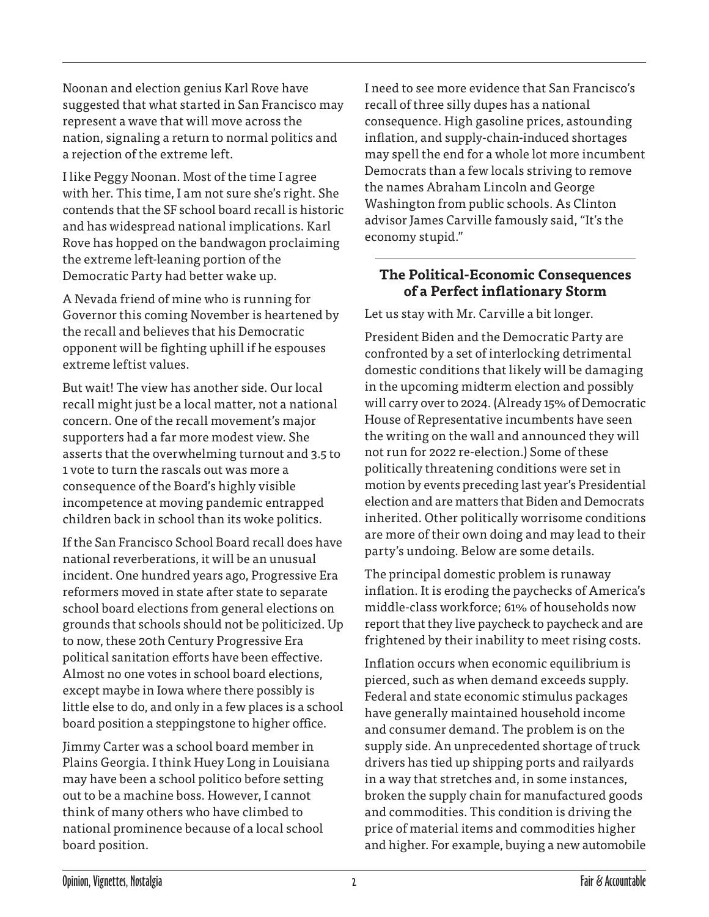Noonan and election genius Karl Rove have suggested that what started in San Francisco may represent a wave that will move across the nation, signaling a return to normal politics and a rejection of the extreme left.

I like Peggy Noonan. Most of the time I agree with her. This time, I am not sure she's right. She contends that the SF school board recall is historic and has widespread national implications. Karl Rove has hopped on the bandwagon proclaiming the extreme left-leaning portion of the Democratic Party had better wake up.

A Nevada friend of mine who is running for Governor this coming November is heartened by the recall and believes that his Democratic opponent will be fighting uphill if he espouses extreme leftist values.

But wait! The view has another side. Our local recall might just be a local matter, not a national concern. One of the recall movement's major supporters had a far more modest view. She asserts that the overwhelming turnout and 3.5 to 1 vote to turn the rascals out was more a consequence of the Board's highly visible incompetence at moving pandemic entrapped children back in school than its woke politics.

If the San Francisco School Board recall does have national reverberations, it will be an unusual incident. One hundred years ago, Progressive Era reformers moved in state after state to separate school board elections from general elections on grounds that schools should not be politicized. Up to now, these 20th Century Progressive Era political sanitation efforts have been effective. Almost no one votes in school board elections, except maybe in Iowa where there possibly is little else to do, and only in a few places is a school board position a steppingstone to higher office.

Jimmy Carter was a school board member in Plains Georgia. I think Huey Long in Louisiana may have been a school politico before setting out to be a machine boss. However, I cannot think of many others who have climbed to national prominence because of a local school board position.

I need to see more evidence that San Francisco's recall of three silly dupes has a national consequence. High gasoline prices, astounding inflation, and supply-chain-induced shortages may spell the end for a whole lot more incumbent Democrats than a few locals striving to remove the names Abraham Lincoln and George Washington from public schools. As Clinton advisor James Carville famously said, "It's the economy stupid."

## **The Political-Economic Consequences of a Perfect inflationary Storm**

Let us stay with Mr. Carville a bit longer.

President Biden and the Democratic Party are confronted by a set of interlocking detrimental domestic conditions that likely will be damaging in the upcoming midterm election and possibly will carry over to 2024. (Already 15% of Democratic House of Representative incumbents have seen the writing on the wall and announced they will not run for 2022 re-election.) Some of these politically threatening conditions were set in motion by events preceding last year's Presidential election and are matters that Biden and Democrats inherited. Other politically worrisome conditions are more of their own doing and may lead to their party's undoing. Below are some details.

The principal domestic problem is runaway inflation. It is eroding the paychecks of America's middle-class workforce; 61% of households now report that they live paycheck to paycheck and are frightened by their inability to meet rising costs.

Inflation occurs when economic equilibrium is pierced, such as when demand exceeds supply. Federal and state economic stimulus packages have generally maintained household income and consumer demand. The problem is on the supply side. An unprecedented shortage of truck drivers has tied up shipping ports and railyards in a way that stretches and, in some instances, broken the supply chain for manufactured goods and commodities. This condition is driving the price of material items and commodities higher and higher. For example, buying a new automobile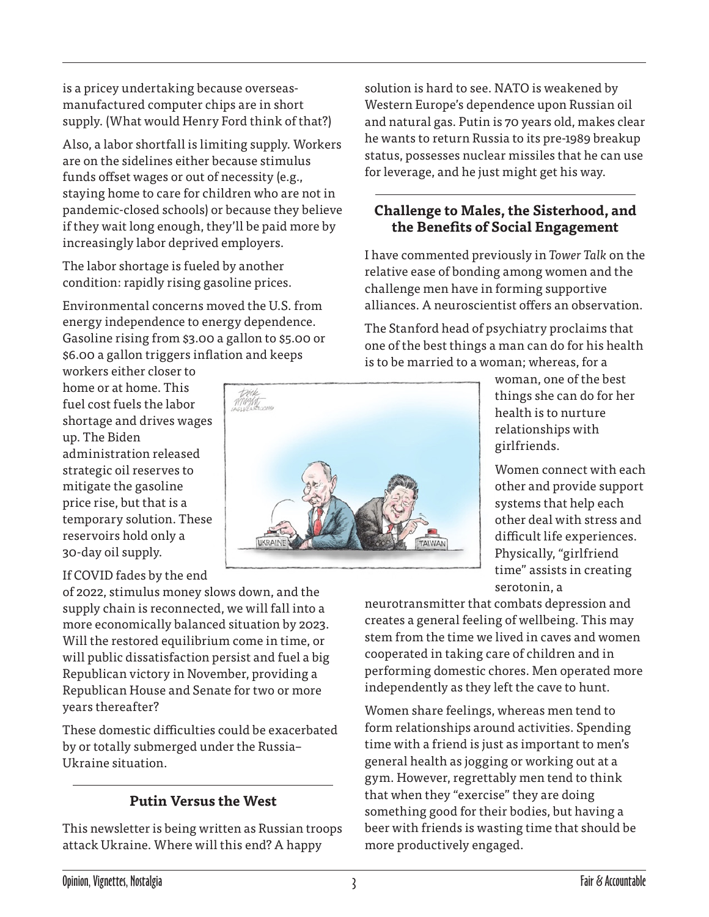is a pricey undertaking because overseasmanufactured computer chips are in short supply. (What would Henry Ford think of that?)

Also, a labor shortfall is limiting supply. Workers are on the sidelines either because stimulus funds offset wages or out of necessity (e.g., staying home to care for children who are not in pandemic-closed schools) or because they believe if they wait long enough, they'll be paid more by increasingly labor deprived employers.

The labor shortage is fueled by another condition: rapidly rising gasoline prices.

Environmental concerns moved the U.S. from energy independence to energy dependence. Gasoline rising from \$3.00 a gallon to \$5.00 or \$6.00 a gallon triggers inflation and keeps

workers either closer to home or at home. This fuel cost fuels the labor shortage and drives wages up. The Biden administration released strategic oil reserves to mitigate the gasoline price rise, but that is a temporary solution. These reservoirs hold only a 30-day oil supply.

#### If COVID fades by the end

of 2022, stimulus money slows down, and the supply chain is reconnected, we will fall into a more economically balanced situation by 2023. Will the restored equilibrium come in time, or will public dissatisfaction persist and fuel a big Republican victory in November, providing a Republican House and Senate for two or more years thereafter?

These domestic difficulties could be exacerbated by or totally submerged under the Russia– Ukraine situation.

# **Putin Versus the West**

This newsletter is being written as Russian troops attack Ukraine. Where will this end? A happy

solution is hard to see. NATO is weakened by Western Europe's dependence upon Russian oil and natural gas. Putin is 70 years old, makes clear he wants to return Russia to its pre-1989 breakup status, possesses nuclear missiles that he can use for leverage, and he just might get his way.

## **Challenge to Males, the Sisterhood, and the Benefits of Social Engagement**

I have commented previously in *Tower Talk* on the relative ease of bonding among women and the challenge men have in forming supportive alliances. A neuroscientist offers an observation.

The Stanford head of psychiatry proclaims that one of the best things a man can do for his health is to be married to a woman; whereas, for a



woman, one of the best things she can do for her health is to nurture relationships with girlfriends.

Women connect with each other and provide support systems that help each other deal with stress and difficult life experiences. Physically, "girlfriend time" assists in creating serotonin, a

neurotransmitter that combats depression and creates a general feeling of wellbeing. This may stem from the time we lived in caves and women cooperated in taking care of children and in performing domestic chores. Men operated more independently as they left the cave to hunt.

Women share feelings, whereas men tend to form relationships around activities. Spending time with a friend is just as important to men's general health as jogging or working out at a gym. However, regrettably men tend to think that when they "exercise" they are doing something good for their bodies, but having a beer with friends is wasting time that should be more productively engaged.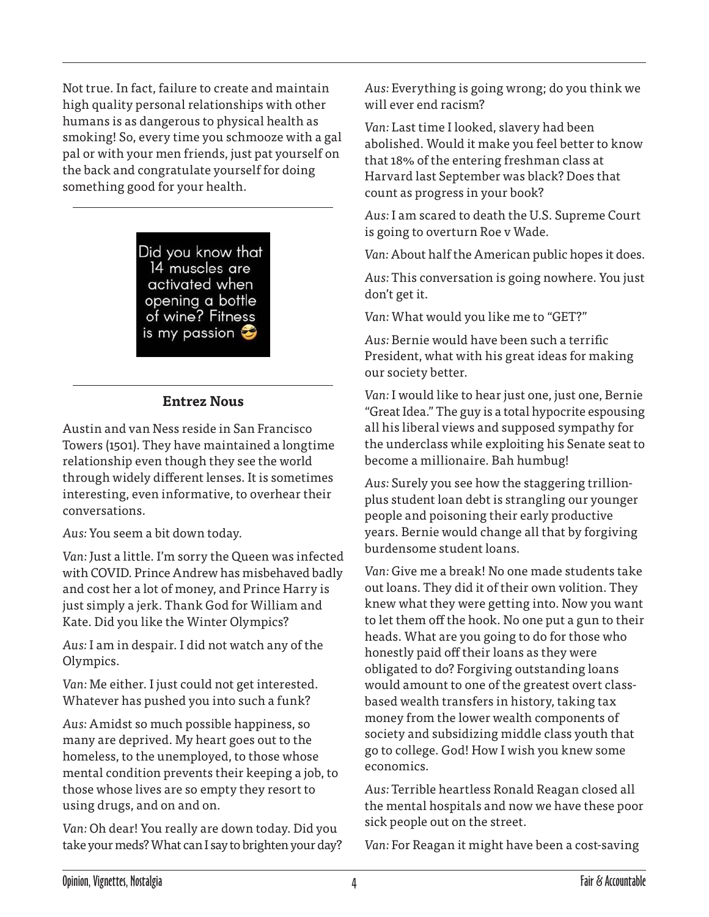Not true. In fact, failure to create and maintain high quality personal relationships with other humans is as dangerous to physical health as smoking! So, every time you schmooze with a gal pal or with your men friends, just pat yourself on the back and congratulate yourself for doing something good for your health.

> Did you know that 14 muscles are activated when opening a bottle of wine? Fitness is my passion  $\mathfrak S$

### **Entrez Nous**

Austin and van Ness reside in San Francisco Towers (1501). They have maintained a longtime relationship even though they see the world through widely different lenses. It is sometimes interesting, even informative, to overhear their conversations.

*Aus:* You seem a bit down today.

*Van:* Just a little. I'm sorry the Queen was infected with COVID. Prince Andrew has misbehaved badly and cost her a lot of money, and Prince Harry is just simply a jerk. Thank God for William and Kate. Did you like the Winter Olympics?

*Aus:* I am in despair. I did not watch any of the Olympics.

*Van:* Me either. I just could not get interested. Whatever has pushed you into such a funk?

*Aus:* Amidst so much possible happiness, so many are deprived. My heart goes out to the homeless, to the unemployed, to those whose mental condition prevents their keeping a job, to those whose lives are so empty they resort to using drugs, and on and on.

*Van:* Oh dear! You really are down today. Did you take your meds? What can I say to brighten your day? *Aus:* Everything is going wrong; do you think we will ever end racism?

*Van:* Last time I looked, slavery had been abolished. Would it make you feel better to know that 18% of the entering freshman class at Harvard last September was black? Does that count as progress in your book?

*Aus:* I am scared to death the U.S. Supreme Court is going to overturn Roe v Wade.

*Van:* About half the American public hopes it does.

*Aus:* This conversation is going nowhere. You just don't get it.

*Van:* What would you like me to "GET?"

*Aus:* Bernie would have been such a terrific President, what with his great ideas for making our society better.

*Van:* I would like to hear just one, just one, Bernie "Great Idea." The guy is a total hypocrite espousing all his liberal views and supposed sympathy for the underclass while exploiting his Senate seat to become a millionaire. Bah humbug!

*Aus:* Surely you see how the staggering trillionplus student loan debt is strangling our younger people and poisoning their early productive years. Bernie would change all that by forgiving burdensome student loans.

*Van:* Give me a break! No one made students take out loans. They did it of their own volition. They knew what they were getting into. Now you want to let them off the hook. No one put a gun to their heads. What are you going to do for those who honestly paid off their loans as they were obligated to do? Forgiving outstanding loans would amount to one of the greatest overt classbased wealth transfers in history, taking tax money from the lower wealth components of society and subsidizing middle class youth that go to college. God! How I wish you knew some economics.

*Aus:* Terrible heartless Ronald Reagan closed all the mental hospitals and now we have these poor sick people out on the street.

*Van:* For Reagan it might have been a cost-saving